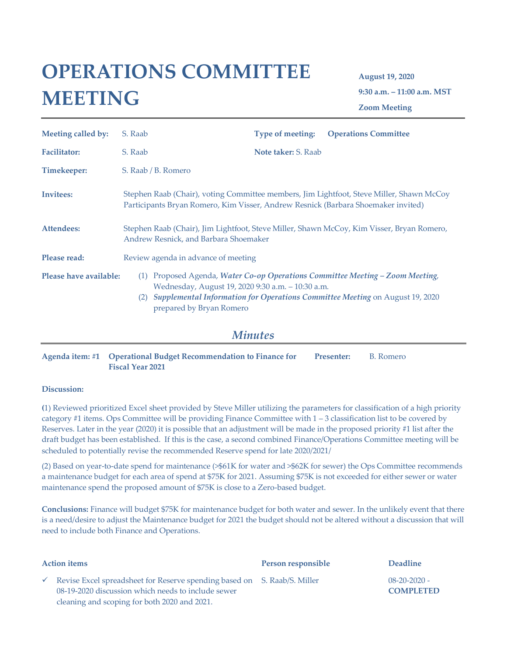# **OPERATIONS COMMITTEE MEETING**

**August 19, 2020 9:30 a.m. – 11:00 a.m. MST Zoom Meeting**

| Meeting called by:     | S. Raab                                                                                                                                                                       | Type of meeting:           | <b>Operations Committee</b>                                                                                                                                   |
|------------------------|-------------------------------------------------------------------------------------------------------------------------------------------------------------------------------|----------------------------|---------------------------------------------------------------------------------------------------------------------------------------------------------------|
| <b>Facilitator:</b>    | S. Raab                                                                                                                                                                       | <b>Note taker: S. Raab</b> |                                                                                                                                                               |
| Timekeeper:            | S. Raab / B. Romero                                                                                                                                                           |                            |                                                                                                                                                               |
| <b>Invitees:</b>       | Stephen Raab (Chair), voting Committee members, Jim Lightfoot, Steve Miller, Shawn McCoy<br>Participants Bryan Romero, Kim Visser, Andrew Resnick (Barbara Shoemaker invited) |                            |                                                                                                                                                               |
| Attendees:             | Stephen Raab (Chair), Jim Lightfoot, Steve Miller, Shawn McCoy, Kim Visser, Bryan Romero,<br>Andrew Resnick, and Barbara Shoemaker                                            |                            |                                                                                                                                                               |
| Please read:           | Review agenda in advance of meeting                                                                                                                                           |                            |                                                                                                                                                               |
| Please have available: | (1)<br>Wednesday, August 19, 2020 9:30 a.m. - 10:30 a.m.<br>prepared by Bryan Romero                                                                                          |                            | Proposed Agenda, Water Co-op Operations Committee Meeting - Zoom Meeting,<br>(2) Supplemental Information for Operations Committee Meeting on August 19, 2020 |

## *Minutes*

**Agenda item: #1 Operational Budget Recommendation to Finance for Fiscal Year 2021** Presenter: B. Romero

### **Discussion:**

**(**1) Reviewed prioritized Excel sheet provided by Steve Miller utilizing the parameters for classification of a high priority category #1 items. Ops Committee will be providing Finance Committee with 1 – 3 classification list to be covered by Reserves. Later in the year (2020) it is possible that an adjustment will be made in the proposed priority #1 list after the draft budget has been established. If this is the case, a second combined Finance/Operations Committee meeting will be scheduled to potentially revise the recommended Reserve spend for late 2020/2021/

(2) Based on year-to-date spend for maintenance (>\$61K for water and >\$62K for sewer) the Ops Committee recommends a maintenance budget for each area of spend at \$75K for 2021. Assuming \$75K is not exceeded for either sewer or water maintenance spend the proposed amount of \$75K is close to a Zero-based budget.

**Conclusions:** Finance will budget \$75K for maintenance budget for both water and sewer. In the unlikely event that there is a need/desire to adjust the Maintenance budget for 2021 the budget should not be altered without a discussion that will need to include both Finance and Operations.

| <b>Action items</b> |                                                                                                                                                                                | Person responsible | <b>Deadline</b>                        |
|---------------------|--------------------------------------------------------------------------------------------------------------------------------------------------------------------------------|--------------------|----------------------------------------|
|                     | Revise Excel spreadsheet for Reserve spending based on S. Raab/S. Miller<br>08-19-2020 discussion which needs to include sewer<br>cleaning and scoping for both 2020 and 2021. |                    | $08 - 20 - 2020 -$<br><b>COMPLETED</b> |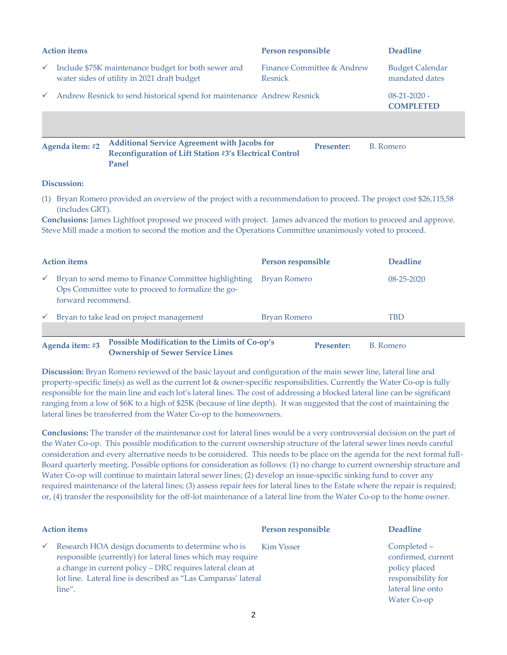| <b>Action items</b> |                                                                        |                                                                                                                | Person responsible                           | <b>Deadline</b>                          |
|---------------------|------------------------------------------------------------------------|----------------------------------------------------------------------------------------------------------------|----------------------------------------------|------------------------------------------|
| $\checkmark$        |                                                                        | Include \$75K maintenance budget for both sewer and<br>water sides of utility in 2021 draft budget             | Finance Committee & Andrew<br><b>Resnick</b> | <b>Budget Calendar</b><br>mandated dates |
| $\checkmark$        | Andrew Resnick to send historical spend for maintenance Andrew Resnick |                                                                                                                | $08-21-2020$ -<br><b>COMPLETED</b>           |                                          |
|                     |                                                                        |                                                                                                                |                                              |                                          |
|                     | Agenda item: #2                                                        | <b>Additional Service Agreement with Jacobs for</b><br>Reconfiguration of Lift Station #3's Electrical Control | <b>Presenter:</b>                            | <b>B.</b> Romero                         |

#### **Panel**

### **Discussion:**

(1) Bryan Romero provided an overview of the project with a recommendation to proceed. The project cost \$26,115,58 (includes GRT).

**Conclusions:** James Lightfoot proposed we proceed with project. James advanced the motion to proceed and approve. Steve Mill made a motion to second the motion and the Operations Committee unanimously voted to proceed.

| <b>Action items</b> |                                                                                                                                  | Person responsible  | <b>Deadline</b>  |
|---------------------|----------------------------------------------------------------------------------------------------------------------------------|---------------------|------------------|
| $\checkmark$        | Bryan to send memo to Finance Committee highlighting<br>Ops Committee vote to proceed to formalize the go-<br>forward recommend. | Bryan Romero        | $08 - 25 - 2020$ |
| $\checkmark$        | Bryan to take lead on project management                                                                                         | <b>Bryan Romero</b> | <b>TBD</b>       |
|                     |                                                                                                                                  |                     |                  |
|                     | Possible Modification to the Limits of Co-op's<br>Agenda item: #3                                                                | <b>Presenter:</b>   | B. Romero        |

**Ownership of Sewer Service Lines**

**Discussion:** Bryan Romero reviewed of the basic layout and configuration of the main sewer line, lateral line and property-specific line(s) as well as the current lot & owner-specific responsibilities. Currently the Water Co-op is fully responsible for the main line and each lot's lateral lines. The cost of addressing a blocked lateral line can be significant ranging from a low of \$6K to a high of \$25K (because of line depth). It was suggested that the cost of maintaining the lateral lines be transferred from the Water Co-op to the homeowners.

**Conclusions:** The transfer of the maintenance cost for lateral lines would be a very controversial decision on the part of the Water Co-op. This possible modification to the current ownership structure of the lateral sewer lines needs careful consideration and every alternative needs to be considered. This needs to be place on the agenda for the next formal full-Board quarterly meeting. Possible options for consideration as follows: (1) no change to current ownership structure and Water Co-op will continue to maintain lateral sewer lines; (2) develop an issue-specific sinking fund to cover any required maintenance of the lateral lines; (3) assess repair fees for lateral lines to the Estate where the repair is required; or, (4) transfer the responsibility for the off-lot maintenance of a lateral line from the Water Co-op to the home owner.

| <b>Action items</b> |                                                                                                                                                                                                                                                           | Person responsible | <b>Deadline</b>                                                                                              |
|---------------------|-----------------------------------------------------------------------------------------------------------------------------------------------------------------------------------------------------------------------------------------------------------|--------------------|--------------------------------------------------------------------------------------------------------------|
| $\checkmark$        | Research HOA design documents to determine who is<br>responsible (currently) for lateral lines which may require<br>a change in current policy - DRC requires lateral clean at<br>lot line. Lateral line is described as "Las Campanas' lateral<br>line". | Kim Visser         | Completed –<br>confirmed, current<br>policy placed<br>responsibility for<br>lateral line onto<br>Water Co-op |